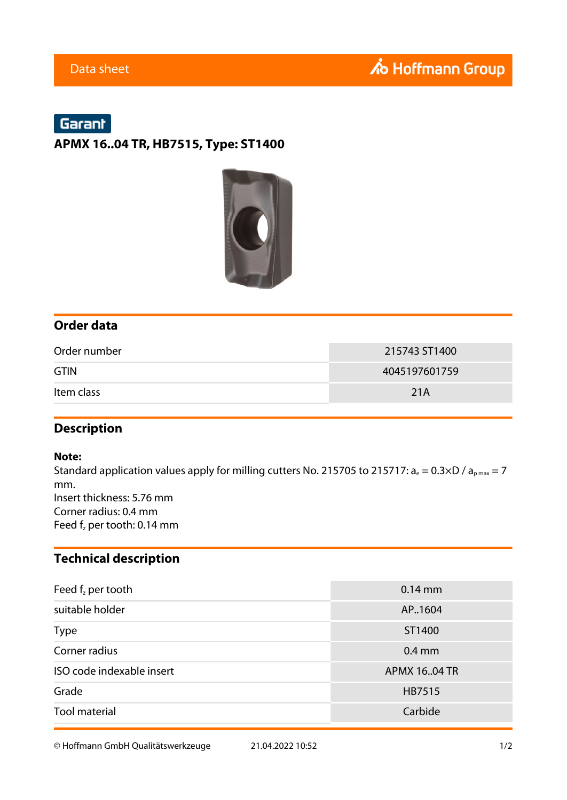# Garant

#### **APMX 16..04 TR, HB7515, Type: ST1400**



### **Order data**

| Order number | 215743 ST1400 |
|--------------|---------------|
| <b>GTIN</b>  | 4045197601759 |
| Item class   | 21A           |

#### **Description**

#### **Note:**

Standard application values apply for milling cutters No. 215705 to 215717:  $a_e = 0.3 \times D / a_{pmax} = 7$ mm. Insert thickness: 5.76 mm Corner radius: 0.4 mm Feed  $f_z$  per tooth: 0.14 mm

### **Technical description**

| Feed $fz$ per tooth       | $0.14$ mm     |  |
|---------------------------|---------------|--|
| suitable holder           | AP., 1604     |  |
| <b>Type</b>               | ST1400        |  |
| Corner radius             | $0.4$ mm      |  |
| ISO code indexable insert | APMX 16.04 TR |  |
| Grade                     | HB7515        |  |
| <b>Tool material</b>      | Carbide       |  |

© Hoffmann GmbH Qualitätswerkzeuge 21.04.2022 10:52 1/2